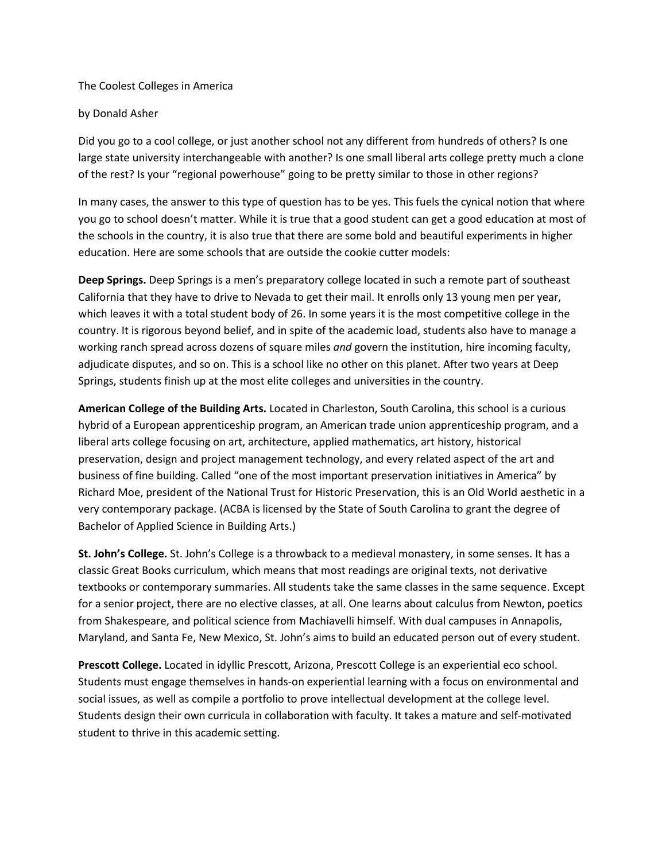## The Coolest Colleges in America

## by Donald Asher

Did you go to a cool college, or just another school not any different from hundreds of others? Is one large state university interchangeable with another? Is one small liberal arts college pretty much a clone of the rest? Is your "regional powerhouse" going to be pretty similar to those in other regions?

In many cases, the answer to this type of question has to be yes. This fuels the cynical notion that where you go to school doesn't matter. While it is true that a good student can get a good education at most of the schools in the country, it is also true that there are some bold and beautiful experiments in higher education. Here are some schools that are outside the cookie cutter models:

**Deep Springs.** Deep Springs is a men's preparatory college located in such a remote part of southeast California that they have to drive to Nevada to get their mail. It enrolls only 13 young men per year, which leaves it with a total student body of 26. In some years it is the most competitive college in the country. It is rigorous beyond belief, and in spite of the academic load, students also have to manage a working ranch spread across dozens of square miles *and* govern the institution, hire incoming faculty, adjudicate disputes, and so on. This is a school like no other on this planet. After two years at Deep Springs, students finish up at the most elite colleges and universities in the country.

**American College of the Building Arts.** Located in Charleston, South Carolina, this school is a curious hybrid of a European apprenticeship program, an American trade union apprenticeship program, and a liberal arts college focusing on art, architecture, applied mathematics, art history, historical preservation, design and project management technology, and every related aspect of the art and business of fine building. Called "one of the most important preservation initiatives in America" by Richard Moe, president of the National Trust for Historic Preservation, this is an Old World aesthetic in a very contemporary package. (ACBA is licensed by the State of South Carolina to grant the degree of Bachelor of Applied Science in Building Arts.)

**St. John's College.** St. John's College is a throwback to a medieval monastery, in some senses. It has a classic Great Books curriculum, which means that most readings are original texts, not derivative textbooks or contemporary summaries. All students take the same classes in the same sequence. Except for a senior project, there are no elective classes, at all. One learns about calculus from Newton, poetics from Shakespeare, and political science from Machiavelli himself. With dual campuses in Annapolis, Maryland, and Santa Fe, New Mexico, St. John's aims to build an educated person out of every student.

**Prescott College.** Located in idyllic Prescott, Arizona, Prescott College is an experiential eco school. Students must engage themselves in hands-on experiential learning with a focus on environmental and social issues, as well as compile a portfolio to prove intellectual development at the college level. Students design their own curricula in collaboration with faculty. It takes a mature and self-motivated student to thrive in this academic setting.